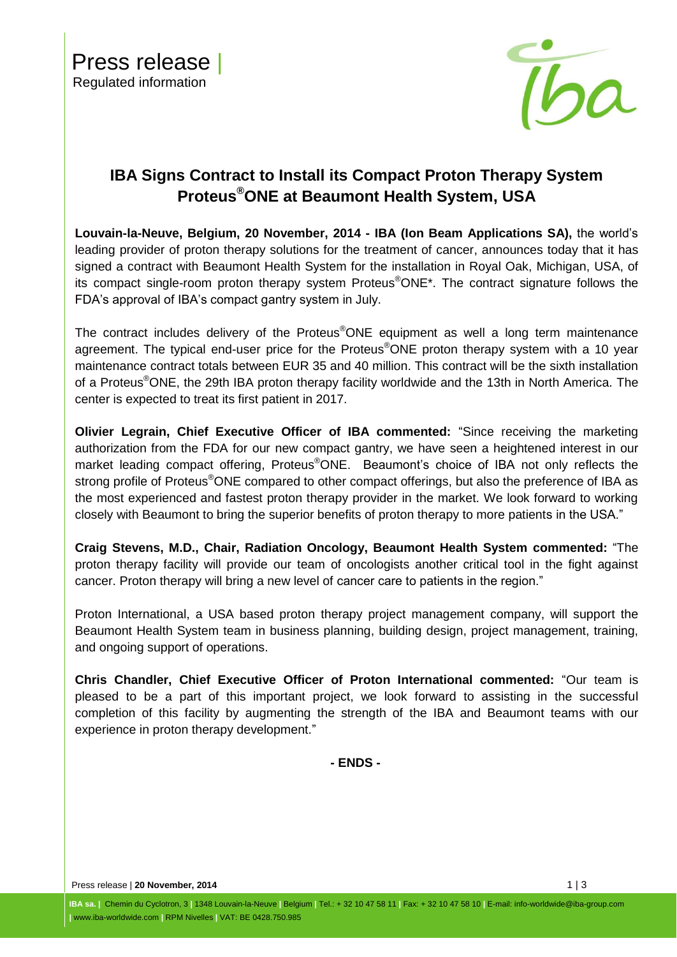

# **IBA Signs Contract to Install its Compact Proton Therapy System Proteus®ONE at Beaumont Health System, USA**

**Louvain-la-Neuve, Belgium, 20 November, 2014 - IBA [\(Ion Beam Applications SA\)](http://group.iba-worldwide.com/iba-solutions),** the world's leading provider of proton therapy solutions for the treatment of cancer, announces today that it has signed a contract with Beaumont Health System for the installation in Royal Oak, Michigan, USA, of its compact single-room proton therapy system Proteus®ONE\*. The contract signature follows the FDA's approval of IBA's compact gantry system in July.

The contract includes delivery of the Proteus®ONE equipment as well a long term maintenance agreement. The typical end-user price for the Proteus<sup>®</sup>ONE proton therapy system with a 10 year maintenance contract totals between EUR 35 and 40 million. This contract will be the sixth installation of a Proteus®ONE, the 29th IBA proton therapy facility worldwide and the 13th in North America. The center is expected to treat its first patient in 2017.

**Olivier Legrain, Chief Executive Officer of IBA commented:** "Since receiving the marketing authorization from the FDA for our new compact gantry, we have seen a heightened interest in our market leading compact offering, Proteus<sup>®</sup>ONE. Beaumont's choice of IBA not only reflects the strong profile of Proteus<sup>®</sup>ONE compared to other compact offerings, but also the preference of IBA as the most experienced and fastest proton therapy provider in the market. We look forward to working closely with Beaumont to bring the superior benefits of proton therapy to more patients in the USA."

**Craig Stevens, M.D., Chair, Radiation Oncology, Beaumont Health System commented:** "The proton therapy facility will provide our team of oncologists another critical tool in the fight against cancer. Proton therapy will bring a new level of cancer care to patients in the region."

Proton International, a USA based proton therapy project management company, will support the Beaumont Health System team in business planning, building design, project management, training, and ongoing support of operations.

**Chris Chandler, Chief Executive Officer of Proton International commented:** "Our team is pleased to be a part of this important project, we look forward to assisting in the successful completion of this facility by augmenting the strength of the IBA and Beaumont teams with our experience in proton therapy development."

**- ENDS -**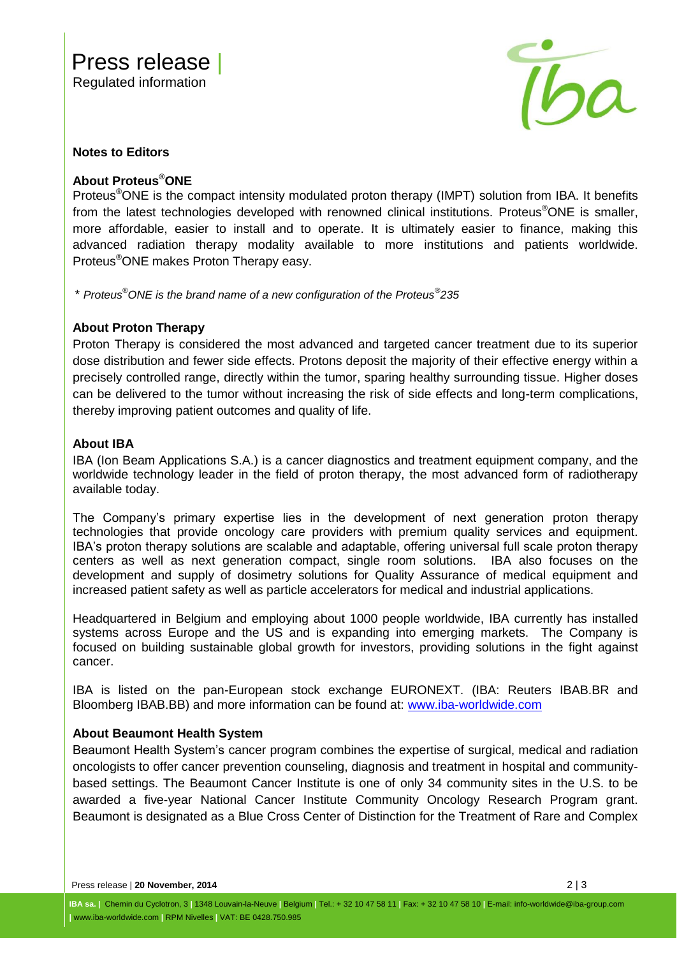

#### **Notes to Editors**

## **About Proteus®ONE**

Proteus<sup>®</sup>ONE is the compact intensity modulated proton therapy (IMPT) solution from IBA. It benefits from the latest technologies developed with renowned clinical institutions. Proteus<sup>®</sup>ONE is smaller, more affordable, easier to install and to operate. It is ultimately easier to finance, making this advanced radiation therapy modality available to more institutions and patients worldwide. Proteus®ONE makes Proton Therapy easy.

\* *Proteus®ONE is the brand name of a new configuration of the Proteus® 235*

## **About Proton Therapy**

Proton Therapy is considered the most advanced and targeted cancer treatment due to its superior dose distribution and fewer side effects. Protons deposit the majority of their effective energy within a precisely controlled range, directly within the tumor, sparing healthy surrounding tissue. Higher doses can be delivered to the tumor without increasing the risk of side effects and long-term complications, thereby improving patient outcomes and quality of life.

## **About IBA**

IBA (Ion Beam Applications S.A.) is a cancer diagnostics and treatment equipment company, and the worldwide technology leader in the field of proton therapy, the most advanced form of radiotherapy available today.

The Company's primary expertise lies in the development of next generation proton therapy technologies that provide oncology care providers with premium quality services and equipment. IBA's proton therapy solutions are scalable and adaptable, offering universal full scale proton therapy centers as well as next generation compact, single room solutions. IBA also focuses on the development and supply of dosimetry solutions for Quality Assurance of medical equipment and increased patient safety as well as particle accelerators for medical and industrial applications.

Headquartered in Belgium and employing about 1000 people worldwide, IBA currently has installed systems across Europe and the US and is expanding into emerging markets. The Company is focused on building sustainable global growth for investors, providing solutions in the fight against cancer.

IBA is listed on the pan-European stock exchange EURONEXT. (IBA: Reuters IBAB.BR and Bloomberg IBAB.BB) and more information can be found at: [www.iba-worldwide.com](http://www.iba-worldwide.com/)

#### **About Beaumont Health System**

Beaumont Health System's cancer program combines the expertise of surgical, medical and radiation oncologists to offer cancer prevention counseling, diagnosis and treatment in hospital and communitybased settings. The Beaumont Cancer Institute is one of only 34 community sites in the U.S. to be awarded a five-year National Cancer Institute Community Oncology Research Program grant. Beaumont is designated as a Blue Cross Center of Distinction for the Treatment of Rare and Complex